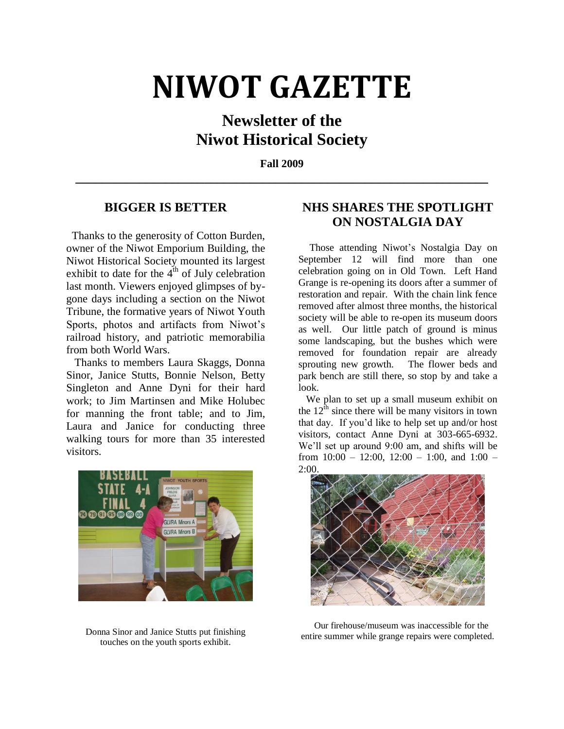# **NIWOT GAZETTE**

# **Newsletter of the Niwot Historical Society**

**Fall 2009 \_\_\_\_\_\_\_\_\_\_\_\_\_\_\_\_\_\_\_\_\_\_\_\_\_\_\_\_\_\_\_\_\_\_\_\_\_\_\_\_\_\_\_\_\_\_\_\_\_\_\_\_\_\_\_\_\_\_\_\_\_\_\_\_**

### **BIGGER IS BETTER**

 Thanks to the generosity of Cotton Burden, owner of the Niwot Emporium Building, the Niwot Historical Society mounted its largest exhibit to date for the  $4<sup>th</sup>$  of July celebration last month. Viewers enjoyed glimpses of bygone days including a section on the Niwot Tribune, the formative years of Niwot Youth Sports, photos and artifacts from Niwot's railroad history, and patriotic memorabilia from both World Wars.

 Thanks to members Laura Skaggs, Donna Sinor, Janice Stutts, Bonnie Nelson, Betty Singleton and Anne Dyni for their hard work; to Jim Martinsen and Mike Holubec for manning the front table; and to Jim, Laura and Janice for conducting three walking tours for more than 35 interested visitors.



Donna Sinor and Janice Stutts put finishing touches on the youth sports exhibit.

# **NHS SHARES THE SPOTLIGHT ON NOSTALGIA DAY**

 Those attending Niwot's Nostalgia Day on September 12 will find more than one celebration going on in Old Town. Left Hand Grange is re-opening its doors after a summer of restoration and repair. With the chain link fence removed after almost three months, the historical society will be able to re-open its museum doors as well. Our little patch of ground is minus some landscaping, but the bushes which were removed for foundation repair are already sprouting new growth. The flower beds and park bench are still there, so stop by and take a look.

 We plan to set up a small museum exhibit on the  $12<sup>th</sup>$  since there will be many visitors in town that day. If you'd like to help set up and/or host visitors, contact Anne Dyni at 303-665-6932. We'll set up around 9:00 am, and shifts will be from  $10:00 - 12:00$ ,  $12:00 - 1:00$ , and  $1:00 -$ 2:00.



 Our firehouse/museum was inaccessible for the entire summer while grange repairs were completed.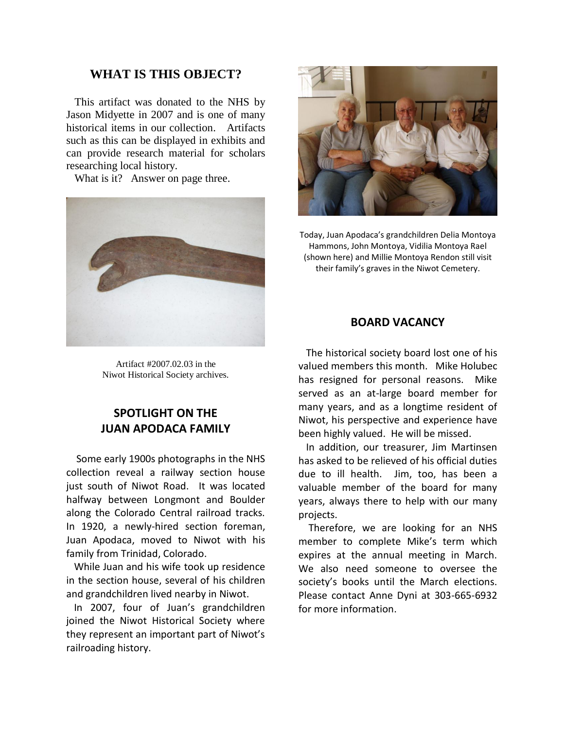#### **WHAT IS THIS OBJECT?**

 This artifact was donated to the NHS by Jason Midyette in 2007 and is one of many historical items in our collection. Artifacts such as this can be displayed in exhibits and can provide research material for scholars researching local history.

What is it? Answer on page three.



Artifact #2007.02.03 in the Niwot Historical Society archives.

## **SPOTLIGHT ON THE JUAN APODACA FAMILY**

 Some early 1900s photographs in the NHS collection reveal a railway section house just south of Niwot Road. It was located halfway between Longmont and Boulder along the Colorado Central railroad tracks. In 1920, a newly-hired section foreman, Juan Apodaca, moved to Niwot with his family from Trinidad, Colorado.

 While Juan and his wife took up residence in the section house, several of his children and grandchildren lived nearby in Niwot.

 In 2007, four of Juan's grandchildren joined the Niwot Historical Society where they represent an important part of Niwot's railroading history.



Today, Juan Apodaca's grandchildren Delia Montoya Hammons, John Montoya, Vidilia Montoya Rael (shown here) and Millie Montoya Rendon still visit their family's graves in the Niwot Cemetery.

#### **BOARD VACANCY**

 The historical society board lost one of his valued members this month. Mike Holubec has resigned for personal reasons. Mike served as an at-large board member for many years, and as a longtime resident of Niwot, his perspective and experience have been highly valued. He will be missed.

 In addition, our treasurer, Jim Martinsen has asked to be relieved of his official duties due to ill health. Jim, too, has been a valuable member of the board for many years, always there to help with our many projects.

 Therefore, we are looking for an NHS member to complete Mike's term which expires at the annual meeting in March. We also need someone to oversee the society's books until the March elections. Please contact Anne Dyni at 303-665-6932 for more information.